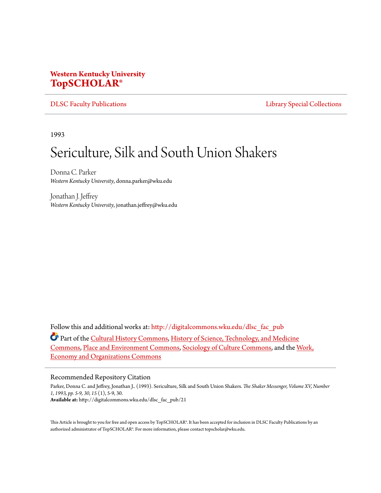## **Western Kentucky University [TopSCHOLAR®](http://digitalcommons.wku.edu?utm_source=digitalcommons.wku.edu%2Fdlsc_fac_pub%2F21&utm_medium=PDF&utm_campaign=PDFCoverPages)**

[DLSC Faculty Publications](http://digitalcommons.wku.edu/dlsc_fac_pub?utm_source=digitalcommons.wku.edu%2Fdlsc_fac_pub%2F21&utm_medium=PDF&utm_campaign=PDFCoverPages) **[Library Special Collections](http://digitalcommons.wku.edu/dlsc?utm_source=digitalcommons.wku.edu%2Fdlsc_fac_pub%2F21&utm_medium=PDF&utm_campaign=PDFCoverPages)** 

1993

# Sericulture, Silk and South Union Shakers

Donna C. Parker *Western Kentucky University*, donna.parker@wku.edu

Jonathan J. Jeffrey *Western Kentucky University*, jonathan.jeffrey@wku.edu

Follow this and additional works at: [http://digitalcommons.wku.edu/dlsc\\_fac\\_pub](http://digitalcommons.wku.edu/dlsc_fac_pub?utm_source=digitalcommons.wku.edu%2Fdlsc_fac_pub%2F21&utm_medium=PDF&utm_campaign=PDFCoverPages)

Part of the [Cultural History Commons,](http://network.bepress.com/hgg/discipline/496?utm_source=digitalcommons.wku.edu%2Fdlsc_fac_pub%2F21&utm_medium=PDF&utm_campaign=PDFCoverPages) [History of Science, Technology, and Medicine](http://network.bepress.com/hgg/discipline/500?utm_source=digitalcommons.wku.edu%2Fdlsc_fac_pub%2F21&utm_medium=PDF&utm_campaign=PDFCoverPages) [Commons,](http://network.bepress.com/hgg/discipline/500?utm_source=digitalcommons.wku.edu%2Fdlsc_fac_pub%2F21&utm_medium=PDF&utm_campaign=PDFCoverPages) [Place and Environment Commons](http://network.bepress.com/hgg/discipline/424?utm_source=digitalcommons.wku.edu%2Fdlsc_fac_pub%2F21&utm_medium=PDF&utm_campaign=PDFCoverPages), [Sociology of Culture Commons](http://network.bepress.com/hgg/discipline/431?utm_source=digitalcommons.wku.edu%2Fdlsc_fac_pub%2F21&utm_medium=PDF&utm_campaign=PDFCoverPages), and the [Work,](http://network.bepress.com/hgg/discipline/433?utm_source=digitalcommons.wku.edu%2Fdlsc_fac_pub%2F21&utm_medium=PDF&utm_campaign=PDFCoverPages) [Economy and Organizations Commons](http://network.bepress.com/hgg/discipline/433?utm_source=digitalcommons.wku.edu%2Fdlsc_fac_pub%2F21&utm_medium=PDF&utm_campaign=PDFCoverPages)

#### Recommended Repository Citation

Parker, Donna C. and Jeffrey, Jonathan J.. (1993). Sericulture, Silk and South Union Shakers. *The Shaker Messenger, Volume XV, Number 1, 1993, pp. 5-9, 30*, *15* (1), 5-9, 30. **Available at:** http://digitalcommons.wku.edu/dlsc\_fac\_pub/21

This Article is brought to you for free and open access by TopSCHOLAR®. It has been accepted for inclusion in DLSC Faculty Publications by an authorized administrator of TopSCHOLAR®. For more information, please contact topscholar@wku.edu.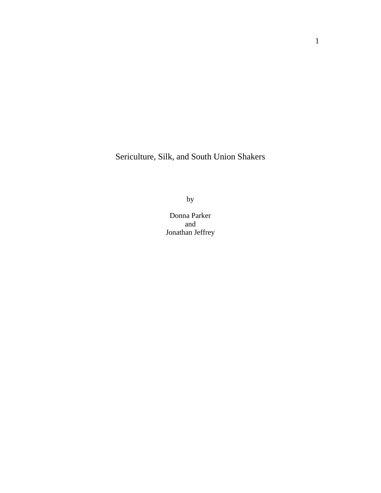Sericulture, Silk, and South Union Shakers

by

Donna Parker and Jonathan Jeffrey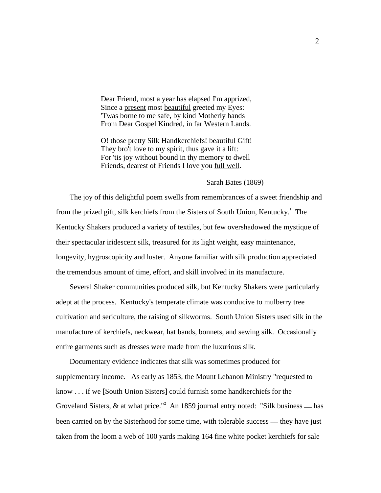Dear Friend, most a year has elapsed I'm apprized, Since a present most beautiful greeted my Eyes: 'Twas borne to me safe, by kind Motherly hands From Dear Gospel Kindred, in far Western Lands.

 O! those pretty Silk Handkerchiefs! beautiful Gift! They bro't love to my spirit, thus gave it a lift: For 'tis joy without bound in thy memory to dwell Friends, dearest of Friends I love you full well.

### Sarah Bates (1869)

 The joy of this delightful poem swells from remembrances of a sweet friendship and from the prized gift, silk kerchiefs from the Sisters of South Union, Kentucky.<sup>1</sup> The Kentucky Shakers produced a variety of textiles, but few overshadowed the mystique of their spectacular iridescent silk, treasured for its light weight, easy maintenance, longevity, hygroscopicity and luster. Anyone familiar with silk production appreciated the tremendous amount of time, effort, and skill involved in its manufacture.

 Several Shaker communities produced silk, but Kentucky Shakers were particularly adept at the process. Kentucky's temperate climate was conducive to mulberry tree cultivation and sericulture, the raising of silkworms. South Union Sisters used silk in the manufacture of kerchiefs, neckwear, hat bands, bonnets, and sewing silk. Occasionally entire garments such as dresses were made from the luxurious silk.

 Documentary evidence indicates that silk was sometimes produced for supplementary income. As early as 1853, the Mount Lebanon Ministry "requested to know . . . if we [South Union Sisters] could furnish some handkerchiefs for the Groveland Sisters,  $\&$  at what price."<sup>2</sup> An 1859 journal entry noted: "Silk business — has been carried on by the Sisterhood for some time, with tolerable success — they have just taken from the loom a web of 100 yards making 164 fine white pocket kerchiefs for sale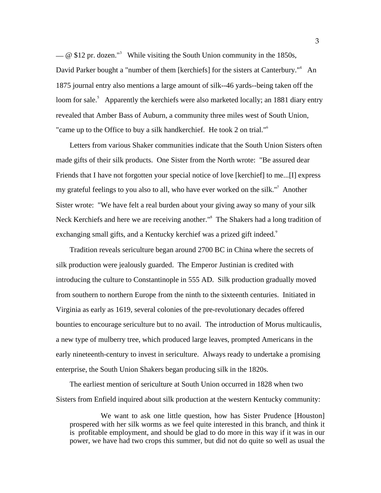$\sim$  @ \$12 pr. dozen."<sup>3</sup> While visiting the South Union community in the 1850s, David Parker bought a "number of them [kerchiefs] for the sisters at Canterbury."<sup>4</sup> An 1875 journal entry also mentions a large amount of silk--46 yards--being taken off the loom for sale.<sup>5</sup> Apparently the kerchiefs were also marketed locally; an 1881 diary entry revealed that Amber Bass of Auburn, a community three miles west of South Union, "came up to the Office to buy a silk handkerchief. He took 2 on trial."<sup>6</sup>

 Letters from various Shaker communities indicate that the South Union Sisters often made gifts of their silk products. One Sister from the North wrote: "Be assured dear Friends that I have not forgotten your special notice of love [kerchief] to me...[I] express my grateful feelings to you also to all, who have ever worked on the silk."<sup>7</sup> Another Sister wrote: "We have felt a real burden about your giving away so many of your silk Neck Kerchiefs and here we are receiving another."<sup>8</sup> The Shakers had a long tradition of exchanging small gifts, and a Kentucky kerchief was a prized gift indeed.<sup>9</sup>

 Tradition reveals sericulture began around 2700 BC in China where the secrets of silk production were jealously guarded. The Emperor Justinian is credited with introducing the culture to Constantinople in 555 AD. Silk production gradually moved from southern to northern Europe from the ninth to the sixteenth centuries. Initiated in Virginia as early as 1619, several colonies of the pre-revolutionary decades offered bounties to encourage sericulture but to no avail. The introduction of Morus multicaulis, a new type of mulberry tree, which produced large leaves, prompted Americans in the early nineteenth-century to invest in sericulture. Always ready to undertake a promising enterprise, the South Union Shakers began producing silk in the 1820s.

 The earliest mention of sericulture at South Union occurred in 1828 when two Sisters from Enfield inquired about silk production at the western Kentucky community:

 We want to ask one little question, how has Sister Prudence [Houston] prospered with her silk worms as we feel quite interested in this branch, and think it is profitable employment, and should be glad to do more in this way if it was in our power, we have had two crops this summer, but did not do quite so well as usual the

3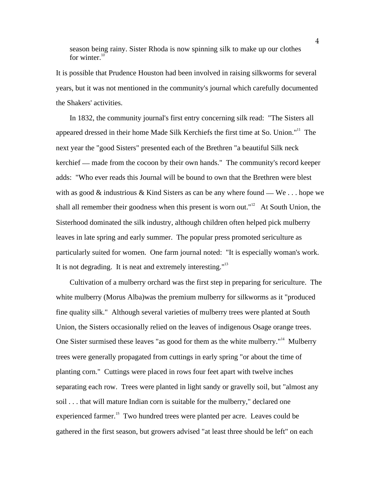season being rainy. Sister Rhoda is now spinning silk to make up our clothes for winter. $10$ 

It is possible that Prudence Houston had been involved in raising silkworms for several years, but it was not mentioned in the community's journal which carefully documented the Shakers' activities.

 In 1832, the community journal's first entry concerning silk read: "The Sisters all appeared dressed in their home Made Silk Kerchiefs the first time at So. Union."<sup>11</sup> The next year the "good Sisters" presented each of the Brethren "a beautiful Silk neck kerchief \_\_ made from the cocoon by their own hands." The community's record keeper adds: "Who ever reads this Journal will be bound to own that the Brethren were blest with as good  $\&$  industrious  $\&$  Kind Sisters as can be any where found — We ... hope we shall all remember their goodness when this present is worn out." $12$  At South Union, the Sisterhood dominated the silk industry, although children often helped pick mulberry leaves in late spring and early summer. The popular press promoted sericulture as particularly suited for women. One farm journal noted: "It is especially woman's work. It is not degrading. It is neat and extremely interesting." $13$ 

 Cultivation of a mulberry orchard was the first step in preparing for sericulture. The white mulberry (Morus Alba)was the premium mulberry for silkworms as it "produced fine quality silk." Although several varieties of mulberry trees were planted at South Union, the Sisters occasionally relied on the leaves of indigenous Osage orange trees. One Sister surmised these leaves "as good for them as the white mulberry."<sup>14</sup> Mulberry trees were generally propagated from cuttings in early spring "or about the time of planting corn." Cuttings were placed in rows four feet apart with twelve inches separating each row. Trees were planted in light sandy or gravelly soil, but "almost any soil . . . that will mature Indian corn is suitable for the mulberry," declared one experienced farmer.<sup>15</sup> Two hundred trees were planted per acre. Leaves could be gathered in the first season, but growers advised "at least three should be left" on each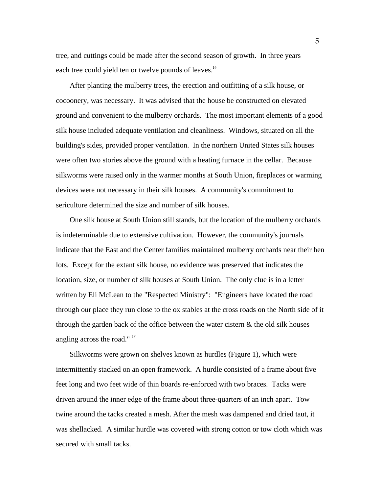tree, and cuttings could be made after the second season of growth. In three years each tree could yield ten or twelve pounds of leaves.<sup>16</sup>

 After planting the mulberry trees, the erection and outfitting of a silk house, or cocoonery, was necessary. It was advised that the house be constructed on elevated ground and convenient to the mulberry orchards. The most important elements of a good silk house included adequate ventilation and cleanliness. Windows, situated on all the building's sides, provided proper ventilation. In the northern United States silk houses were often two stories above the ground with a heating furnace in the cellar. Because silkworms were raised only in the warmer months at South Union, fireplaces or warming devices were not necessary in their silk houses. A community's commitment to sericulture determined the size and number of silk houses.

 One silk house at South Union still stands, but the location of the mulberry orchards is indeterminable due to extensive cultivation. However, the community's journals indicate that the East and the Center families maintained mulberry orchards near their hen lots. Except for the extant silk house, no evidence was preserved that indicates the location, size, or number of silk houses at South Union. The only clue is in a letter written by Eli McLean to the "Respected Ministry": "Engineers have located the road through our place they run close to the ox stables at the cross roads on the North side of it through the garden back of the office between the water cistern  $\&$  the old silk houses angling across the road."  $17$ 

 Silkworms were grown on shelves known as hurdles (Figure 1), which were intermittently stacked on an open framework. A hurdle consisted of a frame about five feet long and two feet wide of thin boards re-enforced with two braces. Tacks were driven around the inner edge of the frame about three-quarters of an inch apart. Tow twine around the tacks created a mesh. After the mesh was dampened and dried taut, it was shellacked. A similar hurdle was covered with strong cotton or tow cloth which was secured with small tacks.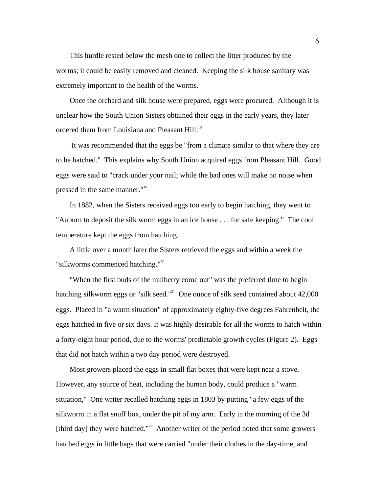This hurdle rested below the mesh one to collect the litter produced by the worms; it could be easily removed and cleaned. Keeping the silk house sanitary was extremely important to the health of the worms.

 Once the orchard and silk house were prepared, eggs were procured. Although it is unclear how the South Union Sisters obtained their eggs in the early years, they later ordered them from Louisiana and Pleasant Hill.<sup>18</sup>

 It was recommended that the eggs be "from a climate similar to that where they are to be hatched." This explains why South Union acquired eggs from Pleasant Hill. Good eggs were said to "crack under your nail; while the bad ones will make no noise when pressed in the same manner."<sup>19</sup>

 In 1882, when the Sisters received eggs too early to begin hatching, they went to "Auburn to deposit the silk worm eggs in an ice house . . . for safe keeping." The cool temperature kept the eggs from hatching.

 A little over a month later the Sisters retrieved the eggs and within a week the "silkworms commenced hatching."<sup>20</sup>

 "When the first buds of the mulberry come out" was the preferred time to begin hatching silkworm eggs or "silk seed."<sup>21</sup> One ounce of silk seed contained about  $42,000$ eggs. Placed in "a warm situation" of approximately eighty-five degrees Fahrenheit, the eggs hatched in five or six days. It was highly desirable for all the worms to hatch within a forty-eight hour period, due to the worms' predictable growth cycles (Figure 2). Eggs that did not hatch within a two day period were destroyed.

 Most growers placed the eggs in small flat boxes that were kept near a stove. However, any source of heat, including the human body, could produce a "warm situation," One writer recalled hatching eggs in 1803 by putting "a few eggs of the silkworm in a flat snuff box, under the pit of my arm. Early in the morning of the 3d [third day] they were hatched."<sup>22</sup> Another writer of the period noted that some growers hatched eggs in little bags that were carried "under their clothes in the day-time, and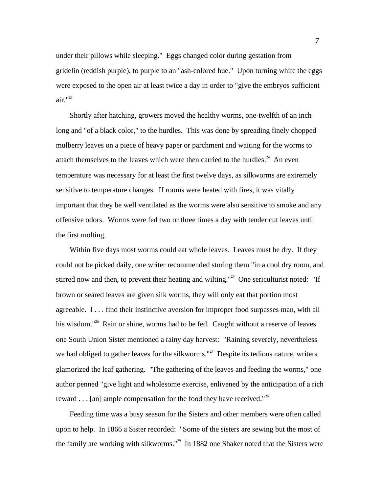under their pillows while sleeping." Eggs changed color during gestation from gridelin (reddish purple), to purple to an "ash-colored hue." Upon turning white the eggs were exposed to the open air at least twice a day in order to "give the embryos sufficient air."<sup>23</sup>

 Shortly after hatching, growers moved the healthy worms, one-twelfth of an inch long and "of a black color," to the hurdles. This was done by spreading finely chopped mulberry leaves on a piece of heavy paper or parchment and waiting for the worms to attach themselves to the leaves which were then carried to the hurdles.<sup>24</sup> An even temperature was necessary for at least the first twelve days, as silkworms are extremely sensitive to temperature changes. If rooms were heated with fires, it was vitally important that they be well ventilated as the worms were also sensitive to smoke and any offensive odors. Worms were fed two or three times a day with tender cut leaves until the first molting.

 Within five days most worms could eat whole leaves. Leaves must be dry. If they could not be picked daily, one writer recommended storing them "in a cool dry room, and stirred now and then, to prevent their heating and wilting."<sup>25</sup> One sericulturist noted: "If brown or seared leaves are given silk worms, they will only eat that portion most agreeable. I . . . find their instinctive aversion for improper food surpasses man, with all his wisdom."<sup>26</sup> Rain or shine, worms had to be fed. Caught without a reserve of leaves one South Union Sister mentioned a rainy day harvest: "Raining severely, nevertheless we had obliged to gather leaves for the silkworms."<sup>27</sup> Despite its tedious nature, writers glamorized the leaf gathering. "The gathering of the leaves and feeding the worms," one author penned "give light and wholesome exercise, enlivened by the anticipation of a rich reward . . . [an] ample compensation for the food they have received."<sup>28</sup>

 Feeding time was a busy season for the Sisters and other members were often called upon to help. In 1866 a Sister recorded: "Some of the sisters are sewing but the most of the family are working with silkworms."<sup>29</sup> In 1882 one Shaker noted that the Sisters were

7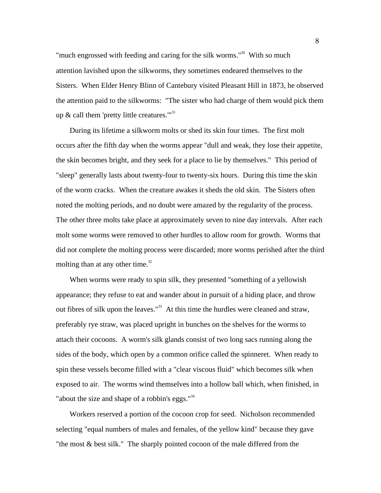"much engrossed with feeding and caring for the silk worms." $30$  With so much attention lavished upon the silkworms, they sometimes endeared themselves to the Sisters. When Elder Henry Blinn of Cantebury visited Pleasant Hill in 1873, he observed the attention paid to the silkworms: "The sister who had charge of them would pick them up  $\&$  call them 'pretty little creatures."<sup>31</sup>

 During its lifetime a silkworm molts or shed its skin four times. The first molt occurs after the fifth day when the worms appear "dull and weak, they lose their appetite, the skin becomes bright, and they seek for a place to lie by themselves." This period of "sleep" generally lasts about twenty-four to twenty-six hours. During this time the skin of the worm cracks. When the creature awakes it sheds the old skin. The Sisters often noted the molting periods, and no doubt were amazed by the regularity of the process. The other three molts take place at approximately seven to nine day intervals. After each molt some worms were removed to other hurdles to allow room for growth. Worms that did not complete the molting process were discarded; more worms perished after the third molting than at any other time.<sup>32</sup>

 When worms were ready to spin silk, they presented "something of a yellowish appearance; they refuse to eat and wander about in pursuit of a hiding place, and throw out fibres of silk upon the leaves."<sup>33</sup> At this time the hurdles were cleaned and straw, preferably rye straw, was placed upright in bunches on the shelves for the worms to attach their cocoons. A worm's silk glands consist of two long sacs running along the sides of the body, which open by a common orifice called the spinneret. When ready to spin these vessels become filled with a "clear viscous fluid" which becomes silk when exposed to air. The worms wind themselves into a hollow ball which, when finished, in "about the size and shape of a robbin's eggs." $34$ 

 Workers reserved a portion of the cocoon crop for seed. Nicholson recommended selecting "equal numbers of males and females, of the yellow kind" because they gave "the most & best silk." The sharply pointed cocoon of the male differed from the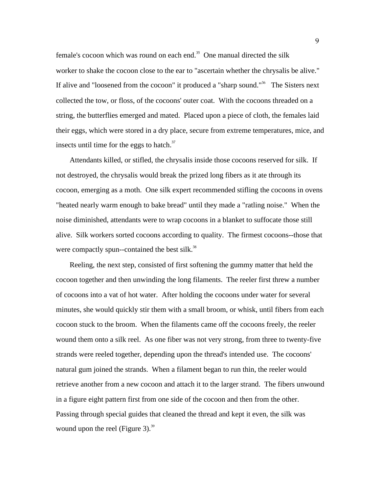female's cocoon which was round on each end.<sup>35</sup> One manual directed the silk worker to shake the cocoon close to the ear to "ascertain whether the chrysalis be alive." If alive and "loosened from the cocoon" it produced a "sharp sound."<sup>36</sup> The Sisters next collected the tow, or floss, of the cocoons' outer coat. With the cocoons threaded on a string, the butterflies emerged and mated. Placed upon a piece of cloth, the females laid their eggs, which were stored in a dry place, secure from extreme temperatures, mice, and insects until time for the eggs to hatch. $37$ 

 Attendants killed, or stifled, the chrysalis inside those cocoons reserved for silk. If not destroyed, the chrysalis would break the prized long fibers as it ate through its cocoon, emerging as a moth. One silk expert recommended stifling the cocoons in ovens "heated nearly warm enough to bake bread" until they made a "ratling noise." When the noise diminished, attendants were to wrap cocoons in a blanket to suffocate those still alive.Silk workers sorted cocoons according to quality. The firmest cocoons--those that were compactly spun--contained the best silk.<sup>38</sup>

Reeling, the next step, consisted of first softening the gummy matter that held the cocoon together and then unwinding the long filaments. The reeler first threw a number of cocoons into a vat of hot water. After holding the cocoons under water for several minutes, she would quickly stir them with a small broom, or whisk, until fibers from each cocoon stuck to the broom. When the filaments came off the cocoons freely, the reeler wound them onto a silk reel. As one fiber was not very strong, from three to twenty-five strands were reeled together, depending upon the thread's intended use. The cocoons' natural gum joined the strands. When a filament began to run thin, the reeler would retrieve another from a new cocoon and attach it to the larger strand. The fibers unwound in a figure eight pattern first from one side of the cocoon and then from the other. Passing through special guides that cleaned the thread and kept it even, the silk was wound upon the reel (Figure 3). $39$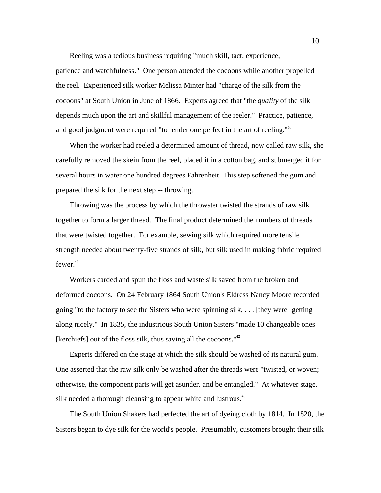Reeling was a tedious business requiring "much skill, tact, experience,

patience and watchfulness." One person attended the cocoons while another propelled the reel. Experienced silk worker Melissa Minter had "charge of the silk from the cocoons" at South Union in June of 1866. Experts agreed that "the *quality* of the silk depends much upon the art and skillful management of the reeler." Practice, patience, and good judgment were required "to render one perfect in the art of reeling."<sup>40</sup>

 When the worker had reeled a determined amount of thread, now called raw silk, she carefully removed the skein from the reel, placed it in a cotton bag, and submerged it for several hours in water one hundred degrees Fahrenheit This step softened the gum and prepared the silk for the next step -- throwing.

 Throwing was the process by which the throwster twisted the strands of raw silk together to form a larger thread. The final product determined the numbers of threads that were twisted together. For example, sewing silk which required more tensile strength needed about twenty-five strands of silk, but silk used in making fabric required  $fewer.<sup>41</sup>$ 

 Workers carded and spun the floss and waste silk saved from the broken and deformed cocoons. On 24 February 1864 South Union's Eldress Nancy Moore recorded going "to the factory to see the Sisters who were spinning silk, . . . [they were] getting along nicely." In 1835, the industrious South Union Sisters "made 10 changeable ones [kerchiefs] out of the floss silk, thus saving all the cocoons."<sup>42</sup>

 Experts differed on the stage at which the silk should be washed of its natural gum. One asserted that the raw silk only be washed after the threads were "twisted, or woven; otherwise, the component parts will get asunder, and be entangled." At whatever stage, silk needed a thorough cleansing to appear white and lustrous. $43$ 

The South Union Shakers had perfected the art of dyeing cloth by 1814. In 1820, the Sisters began to dye silk for the world's people. Presumably, customers brought their silk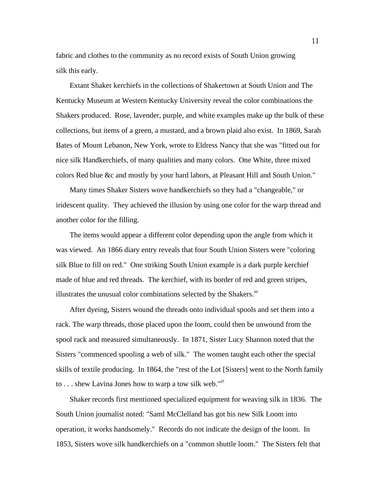fabric and clothes to the community as no record exists of South Union growing silk this early.

 Extant Shaker kerchiefs in the collections of Shakertown at South Union and The Kentucky Museum at Western Kentucky University reveal the color combinations the Shakers produced. Rose, lavender, purple, and white examples make up the bulk of these collections, but items of a green, a mustard, and a brown plaid also exist. In 1869, Sarah Bates of Mount Lebanon, New York, wrote to Eldress Nancy that she was "fitted out for nice silk Handkerchiefs, of many qualities and many colors. One White, three mixed colors Red blue &c and mostly by your hard labors, at Pleasant Hill and South Union."

 Many times Shaker Sisters wove handkerchiefs so they had a "changeable," or iridescent quality. They achieved the illusion by using one color for the warp thread and another color for the filling.

The items would appear a different color depending upon the angle from which it was viewed. An 1866 diary entry reveals that four South Union Sisters were "coloring silk Blue to fill on red." One striking South Union example is a dark purple kerchief made of blue and red threads. The kerchief, with its border of red and green stripes, illustrates the unusual color combinations selected by the Shakers.<sup>44</sup>

After dyeing, Sisters wound the threads onto individual spools and set them into a rack. The warp threads, those placed upon the loom, could then be unwound from the spool rack and measured simultaneously. In 1871, Sister Lucy Shannon noted that the Sisters "commenced spooling a web of silk." The women taught each other the special skills of textile producing. In 1864, the "rest of the Lot [Sisters] went to the North family to . . . shew Lavina Jones how to warp a tow silk web." $45$ 

 Shaker records first mentioned specialized equipment for weaving silk in 1836. The South Union journalist noted: "Saml McClelland has got his new Silk Loom into operation, it works handsomely." Records do not indicate the design of the loom. In 1853, Sisters wove silk handkerchiefs on a "common shuttle loom." The Sisters felt that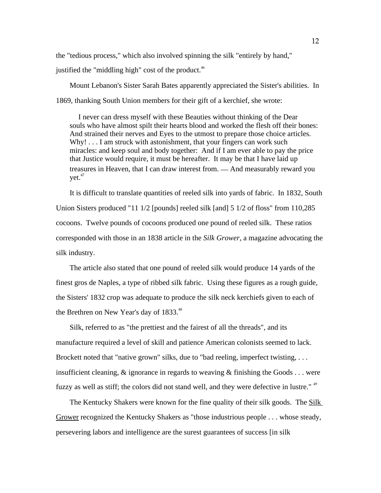the "tedious process," which also involved spinning the silk "entirely by hand," justified the "middling high" cost of the product. $46$ 

 Mount Lebanon's Sister Sarah Bates apparently appreciated the Sister's abilities. In 1869, thanking South Union members for their gift of a kerchief, she wrote:

 I never can dress myself with these Beauties without thinking of the Dear souls who have almost spilt their hearts blood and worked the flesh off their bones: And strained their nerves and Eyes to the utmost to prepare those choice articles. Why! . . . I am struck with astonishment, that your fingers can work such miracles: and keep soul and body together: And if I am ever able to pay the price that Justice would require, it must be hereafter. It may be that I have laid up treasures in Heaven, that I can draw interest from. \_\_ And measurably reward you vet.<sup>47</sup>

 It is difficult to translate quantities of reeled silk into yards of fabric. In 1832, South Union Sisters produced "11 1/2 [pounds] reeled silk [and] 5 1/2 of floss" from 110,285 cocoons. Twelve pounds of cocoons produced one pound of reeled silk. These ratios corresponded with those in an 1838 article in the *Silk Grower*, a magazine advocating the silk industry.

 The article also stated that one pound of reeled silk would produce 14 yards of the finest gros de Naples, a type of ribbed silk fabric. Using these figures as a rough guide, the Sisters' 1832 crop was adequate to produce the silk neck kerchiefs given to each of the Brethren on New Year's day of 1833.<sup>48</sup>

 Silk, referred to as "the prettiest and the fairest of all the threads", and its manufacture required a level of skill and patience American colonists seemed to lack. Brockett noted that "native grown" silks, due to "bad reeling, imperfect twisting, ... insufficient cleaning,  $\&$  ignorance in regards to weaving  $\&$  finishing the Goods ... were fuzzy as well as stiff; the colors did not stand well, and they were defective in lustre." <sup>49</sup>

 The Kentucky Shakers were known for the fine quality of their silk goods. The Silk Grower recognized the Kentucky Shakers as "those industrious people . . . whose steady, persevering labors and intelligence are the surest guarantees of success [in silk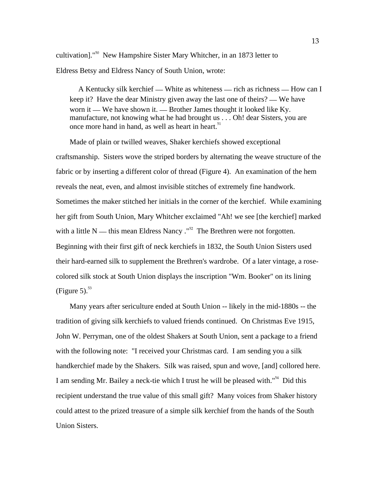cultivation]."<sup>50</sup> New Hampshire Sister Mary Whitcher, in an 1873 letter to Eldress Betsy and Eldress Nancy of South Union, wrote:

A Kentucky silk kerchief — White as whiteness — rich as richness — How can I keep it? Have the dear Ministry given away the last one of theirs? — We have worn it — We have shown it. — Brother James thought it looked like Ky. manufacture, not knowing what he had brought us . . . Oh! dear Sisters, you are once more hand in hand, as well as heart in heart.<sup>51</sup>

 Made of plain or twilled weaves, Shaker kerchiefs showed exceptional craftsmanship. Sisters wove the striped borders by alternating the weave structure of the fabric or by inserting a different color of thread (Figure 4). An examination of the hem reveals the neat, even, and almost invisible stitches of extremely fine handwork. Sometimes the maker stitched her initials in the corner of the kerchief. While examining her gift from South Union, Mary Whitcher exclaimed "Ah! we see [the kerchief] marked with a little N — this mean Eldress Nancy  $.^{152}$  The Brethren were not forgotten. Beginning with their first gift of neck kerchiefs in 1832, the South Union Sisters used their hard-earned silk to supplement the Brethren's wardrobe. Of a later vintage, a rosecolored silk stock at South Union displays the inscription "Wm. Booker" on its lining (Figure 5). $53$ 

 Many years after sericulture ended at South Union -- likely in the mid-1880s -- the tradition of giving silk kerchiefs to valued friends continued. On Christmas Eve 1915, John W. Perryman, one of the oldest Shakers at South Union, sent a package to a friend with the following note: "I received your Christmas card. I am sending you a silk handkerchief made by the Shakers. Silk was raised, spun and wove, [and] collored here. I am sending Mr. Bailey a neck-tie which I trust he will be pleased with."<sup>54</sup> Did this recipient understand the true value of this small gift? Many voices from Shaker history could attest to the prized treasure of a simple silk kerchief from the hands of the South Union Sisters.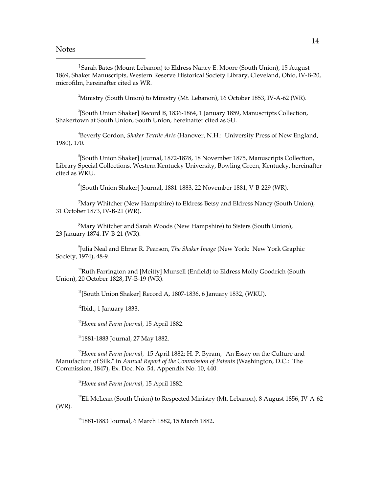**Notes** 

 $\overline{a}$ 

<sup>1</sup>Sarah Bates (Mount Lebanon) to Eldress Nancy E. Moore (South Union), 15 August 1869, Shaker Manuscripts, Western Reserve Historical Society Library, Cleveland, Ohio, IV-B-20, microfilm, hereinafter cited as WR.

<sup>2</sup>Ministry (South Union) to Ministry (Mt. Lebanon), 16 October 1853, IV-A-62 (WR).

3 [South Union Shaker] Record B, 1836-1864, 1 January 1859, Manuscripts Collection, Shakertown at South Union, South Union, hereinafter cited as SU.

4 Beverly Gordon, *Shaker Textile Arts* (Hanover, N.H.: University Press of New England, 1980), 170.

5 [South Union Shaker] Journal, 1872-1878, 18 November 1875, Manuscripts Collection, Library Special Collections, Western Kentucky University, Bowling Green, Kentucky, hereinafter cited as WKU.

6 [South Union Shaker] Journal, 1881-1883, 22 November 1881, V-B-229 (WR).

<sup>7</sup>Mary Whitcher (New Hampshire) to Eldress Betsy and Eldress Nancy (South Union), 31 October 1873, IV-B-21 (WR).

<sup>8</sup>Mary Whitcher and Sarah Woods (New Hampshire) to Sisters (South Union), 23 January 1874. IV-B-21 (WR).

9 Julia Neal and Elmer R. Pearson, *The Shaker Image* (New York: New York Graphic Society, 1974), 48-9.

<sup>10</sup>Ruth Farrington and [Meitty] Munsell (Enfield) to Eldress Molly Goodrich (South Union), 20 October 1828, IV-B-19 (WR).

 $11$ [South Union Shaker] Record A, 1807-1836, 6 January 1832, (WKU).

 $12$ Ibid., 1 January 1833.

<sup>13</sup>*Home and Farm Journal,* 15 April 1882.

<sup>14</sup>1881-1883 Journal, 27 May 1882.

<sup>15</sup>Home and Farm Journal, 15 April 1882; H. P. Byram, "An Essay on the Culture and Manufacture of Silk," in *Annual Report of the Commission of Patents* (Washington, D.C.: The Commission, 1847), Ex. Doc. No. 54, Appendix No. 10, 440.

<sup>16</sup>*Home and Farm Journal,* 15 April 1882.

<sup>17</sup>Eli McLean (South Union) to Respected Ministry (Mt. Lebanon), 8 August 1856, IV-A-62 (WR).

<sup>18</sup>1881-1883 Journal, 6 March 1882, 15 March 1882.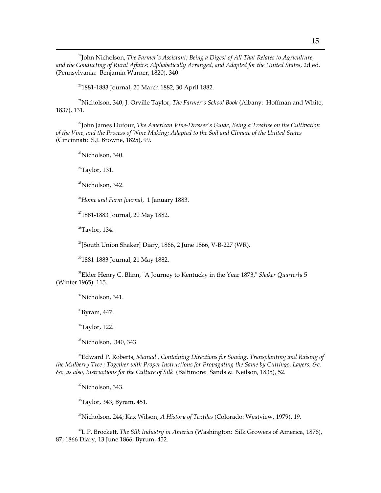<sup>19</sup>John Nicholson, *The Farmer's Assistant; Being a Digest of All That Relates to Agriculture, and the Conducting of Rural Affairs; Alphabetically Arranged, and Adapted for the United States,* 2d ed. (Pennsylvania: Benjamin Warner, 1820), 340.

 $20$ <sup>20</sup>1881-1883 Journal, 20 March 1882, 30 April 1882.

<sup>21</sup>Nicholson, 340; J. Orville Taylor, *The Farmer's School Book* (Albany: Hoffman and White, 1837), 131.

<sup>22</sup>John James Dufour, *The American Vine-Dresser's Guide*, Being a Treatise on the Cultivation *of the Vine, and the Process of Wine Making; Adapted to the Soil and Climate of the United States*  (Cincinnati: S.J. Browne, 1825), 99.

 $23$ Nicholson, 340.

 $24$ Taylor, 131.

 $\overline{a}$ 

<sup>25</sup>Nicholson, 342.

<sup>26</sup>*Home and Farm Journal,* 1 January 1883.

<sup>27</sup>1881-1883 Journal, 20 May 1882.

 $28$ Taylor, 134.

 $^{29}$ [South Union Shaker] Diary, 1866, 2 June 1866, V-B-227 (WR).

<sup>30</sup>1881-1883 Journal, 21 May 1882.

<sup>31</sup>Elder Henry C. Blinn, "A Journey to Kentucky in the Year 1873," *Shaker Quarterly* 5 (Winter 1965): 115.

<sup>32</sup>Nicholson, 341.

 $^{33}$ Byram, 447.

 $34$ Taylor, 122.

<sup>35</sup>Nicholson, 340, 343.

<sup>36</sup>Edward P. Roberts, *Manual , Containing Directions for Sowing, Transplanting and Raising of the Mulberry Tree ; Together with Proper Instructions for Propagating the Same by Cuttings, Layers, &c. &c. as also, Instructions for the Culture of Silk* (Baltimore: Sands & Neilson, 1835), 52.

<sup>37</sup>Nicholson, 343.

<sup>38</sup>Taylor, 343; Byram, 451.

<sup>39</sup>Nicholson, 244; Kax Wilson, *A History of Textiles* (Colorado: Westview, 1979), 19.

<sup>40</sup>L.P. Brockett, *The Silk Industry in America* (Washington: Silk Growers of America, 1876), 87; 1866 Diary, 13 June 1866; Byrum, 452.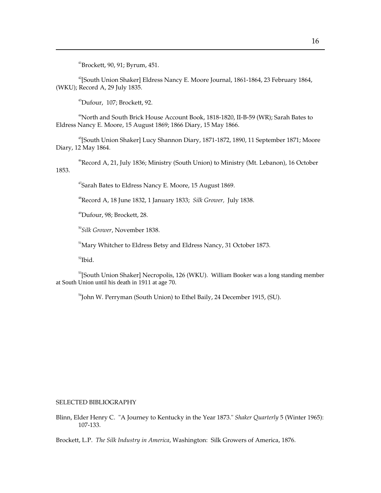<sup>41</sup>Brockett, 90, 91; Byrum, 451.

 $\overline{a}$ 

<sup>42</sup>[South Union Shaker] Eldress Nancy E. Moore Journal, 1861-1864, 23 February 1864, (WKU); Record A, 29 July 1835.

<sup>43</sup>Dufour, 107; Brockett, 92.

<sup>44</sup>North and South Brick House Account Book, 1818-1820, II-B-59 (WR); Sarah Bates to Eldress Nancy E. Moore, 15 August 1869; 1866 Diary, 15 May 1866.

<sup>45</sup>[South Union Shaker] Lucy Shannon Diary, 1871-1872, 1890, 11 September 1871; Moore Diary, 12 May 1864.

<sup>46</sup>Record A, 21, July 1836; Ministry (South Union) to Ministry (Mt. Lebanon), 16 October 1853.

 $47$ Sarah Bates to Eldress Nancy E. Moore, 15 August 1869.

<sup>48</sup>Record A, 18 June 1832, 1 January 1833; *Silk Grower,* July 1838.

<sup>49</sup>Dufour, 98; Brockett, 28.

<sup>50</sup>*Silk Grower*, November 1838.

<sup>51</sup>Mary Whitcher to Eldress Betsy and Eldress Nancy, 31 October 1873.

 $52$ Ibid.

<sup>53</sup>[South Union Shaker] Necropolis, 126 (WKU). William Booker was a long standing member at South Union until his death in 1911 at age 70.

<sup>54</sup>John W. Perryman (South Union) to Ethel Baily, 24 December 1915, (SU).

#### SELECTED BIBLIOGRAPHY

Blinn, Elder Henry C. "A Journey to Kentucky in the Year 1873." *Shaker Quarterly* 5 (Winter 1965): 107-133.

Brockett, L.P. *The Silk Industry in America*, Washington: Silk Growers of America, 1876.